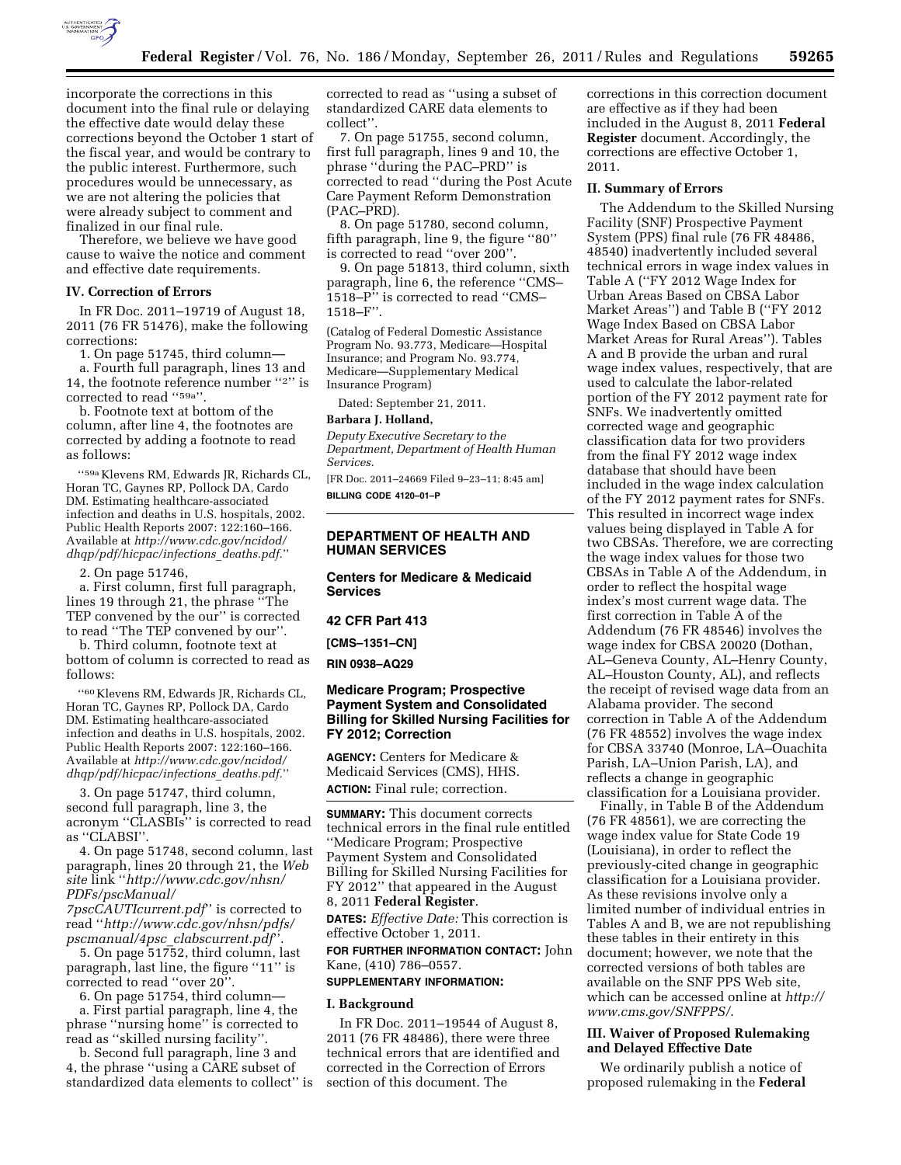

incorporate the corrections in this document into the final rule or delaying the effective date would delay these corrections beyond the October 1 start of the fiscal year, and would be contrary to the public interest. Furthermore, such procedures would be unnecessary, as we are not altering the policies that were already subject to comment and finalized in our final rule.

Therefore, we believe we have good cause to waive the notice and comment and effective date requirements.

## **IV. Correction of Errors**

In FR Doc. 2011–19719 of August 18, 2011 (76 FR 51476), make the following corrections:

1. On page 51745, third column—

a. Fourth full paragraph, lines 13 and 14, the footnote reference number ''2'' is corrected to read "59a".

b. Footnote text at bottom of the column, after line 4, the footnotes are corrected by adding a footnote to read as follows:

''59a Klevens RM, Edwards JR, Richards CL, Horan TC, Gaynes RP, Pollock DA, Cardo DM. Estimating healthcare-associated infection and deaths in U.S. hospitals, 2002. Public Health Reports 2007: 122:160–166. Available at *[http://www.cdc.gov/ncidod/](http://www.cdc.gov/ncidod/dhqp/pdf/hicpac/infections_deaths.pdf)  [dhqp/pdf/hicpac/infections](http://www.cdc.gov/ncidod/dhqp/pdf/hicpac/infections_deaths.pdf)*\_*deaths.pdf.*''

2. On page 51746,

a. First column, first full paragraph, lines 19 through 21, the phrase ''The TEP convened by the our'' is corrected to read ''The TEP convened by our''.

b. Third column, footnote text at bottom of column is corrected to read as follows:

''60 Klevens RM, Edwards JR, Richards CL, Horan TC, Gaynes RP, Pollock DA, Cardo DM. Estimating healthcare-associated infection and deaths in U.S. hospitals, 2002. Public Health Reports 2007: 122:160–166. Available at *[http://www.cdc.gov/ncidod/](http://www.cdc.gov/ncidod/dhqp/pdf/hicpac/infections_deaths.pdf)  [dhqp/pdf/hicpac/infections](http://www.cdc.gov/ncidod/dhqp/pdf/hicpac/infections_deaths.pdf)*\_*deaths.pdf.*''

3. On page 51747, third column, second full paragraph, line 3, the acronym ''CLASBIs'' is corrected to read as ''CLABSI''.

4. On page 51748, second column, last paragraph, lines 20 through 21, the *Web site* link ''*[http://www.cdc.gov/nhsn/](http://www.cdc.gov/nhsn/PDFs/pscManual/7pscCAUTIcurrent.pdf)  [PDFs/pscManual/](http://www.cdc.gov/nhsn/PDFs/pscManual/7pscCAUTIcurrent.pdf)* 

*[7pscCAUTIcurrent.pdf](http://www.cdc.gov/nhsn/PDFs/pscManual/7pscCAUTIcurrent.pdf)*'' is corrected to read ''*[http://www.cdc.gov/nhsn/pdfs/](http://www.cdc.gov/nhsn/pdfs/pscmanual/4psc_clabscurrent.pdf) [pscmanual/4psc](http://www.cdc.gov/nhsn/pdfs/pscmanual/4psc_clabscurrent.pdf)*\_*clabscurrent.pdf*''.

5. On page 51752, third column, last paragraph, last line, the figure ''11'' is corrected to read ''over 20''.

6. On page 51754, third column—

a. First partial paragraph, line 4, the phrase ''nursing home'' is corrected to read as ''skilled nursing facility''.

b. Second full paragraph, line 3 and 4, the phrase ''using a CARE subset of standardized data elements to collect'' is

corrected to read as ''using a subset of standardized CARE data elements to collect''.

7. On page 51755, second column, first full paragraph, lines 9 and 10, the phrase ''during the PAC–PRD'' is corrected to read ''during the Post Acute Care Payment Reform Demonstration (PAC–PRD).

8. On page 51780, second column, fifth paragraph, line 9, the figure ''80'' is corrected to read ''over 200''.

9. On page 51813, third column, sixth paragraph, line 6, the reference ''CMS– 1518–P'' is corrected to read ''CMS– 1518–F''.

(Catalog of Federal Domestic Assistance Program No. 93.773, Medicare—Hospital Insurance; and Program No. 93.774, Medicare—Supplementary Medical Insurance Program)

Dated: September 21, 2011.

### **Barbara J. Holland,**

*Deputy Executive Secretary to the Department, Department of Health Human Services.* 

[FR Doc. 2011–24669 Filed 9–23–11; 8:45 am] **BILLING CODE 4120–01–P** 

# **DEPARTMENT OF HEALTH AND HUMAN SERVICES**

# **Centers for Medicare & Medicaid Services**

## **42 CFR Part 413**

**[CMS–1351–CN]** 

**RIN 0938–AQ29** 

## **Medicare Program; Prospective Payment System and Consolidated Billing for Skilled Nursing Facilities for FY 2012; Correction**

**AGENCY:** Centers for Medicare & Medicaid Services (CMS), HHS. **ACTION:** Final rule; correction.

**SUMMARY:** This document corrects technical errors in the final rule entitled ''Medicare Program; Prospective Payment System and Consolidated Billing for Skilled Nursing Facilities for FY 2012'' that appeared in the August 8, 2011 **Federal Register**.

**DATES:** *Effective Date:* This correction is effective October 1, 2011.

**FOR FURTHER INFORMATION CONTACT:** John Kane, (410) 786–0557.

## **SUPPLEMENTARY INFORMATION:**

#### **I. Background**

In FR Doc. 2011–19544 of August 8, 2011 (76 FR 48486), there were three technical errors that are identified and corrected in the Correction of Errors section of this document. The

corrections in this correction document are effective as if they had been included in the August 8, 2011 **Federal Register** document. Accordingly, the corrections are effective October 1, 2011.

#### **II. Summary of Errors**

The Addendum to the Skilled Nursing Facility (SNF) Prospective Payment System (PPS) final rule (76 FR 48486, 48540) inadvertently included several technical errors in wage index values in Table A (''FY 2012 Wage Index for Urban Areas Based on CBSA Labor Market Areas'') and Table B (''FY 2012 Wage Index Based on CBSA Labor Market Areas for Rural Areas''). Tables A and B provide the urban and rural wage index values, respectively, that are used to calculate the labor-related portion of the FY 2012 payment rate for SNFs. We inadvertently omitted corrected wage and geographic classification data for two providers from the final FY 2012 wage index database that should have been included in the wage index calculation of the FY 2012 payment rates for SNFs. This resulted in incorrect wage index values being displayed in Table A for two CBSAs. Therefore, we are correcting the wage index values for those two CBSAs in Table A of the Addendum, in order to reflect the hospital wage index's most current wage data. The first correction in Table A of the Addendum (76 FR 48546) involves the wage index for CBSA 20020 (Dothan, AL–Geneva County, AL–Henry County, AL–Houston County, AL), and reflects the receipt of revised wage data from an Alabama provider. The second correction in Table A of the Addendum (76 FR 48552) involves the wage index for CBSA 33740 (Monroe, LA–Ouachita Parish, LA–Union Parish, LA), and reflects a change in geographic classification for a Louisiana provider.

Finally, in Table B of the Addendum (76 FR 48561), we are correcting the wage index value for State Code 19 (Louisiana), in order to reflect the previously-cited change in geographic classification for a Louisiana provider. As these revisions involve only a limited number of individual entries in Tables A and B, we are not republishing these tables in their entirety in this document; however, we note that the corrected versions of both tables are available on the SNF PPS Web site, which can be accessed online at *[http://](http://www.cms.gov/SNFPPS/) [www.cms.gov/SNFPPS/](http://www.cms.gov/SNFPPS/)*.

# **III. Waiver of Proposed Rulemaking and Delayed Effective Date**

We ordinarily publish a notice of proposed rulemaking in the **Federal**